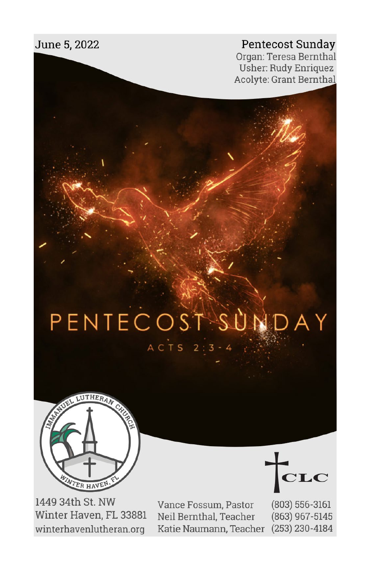#### Pentecost Sunday

Organ: Teresa Bernthal **Usher: Rudy Enriquez** Acolyte: Grant Bernthal

# PENTECOSTSUNDAY ACTS 2:3-4



1449 34th St. NW Winter Haven, FL 33881 winterhavenlutheran.org

Vance Fossum, Pastor Neil Bernthal, Teacher Katie Naumann, Teacher (253) 230-4184

 ${\bf C} {\bf L} {\bf C}$ 

 $(803) 556 - 3161$ (863) 967-5145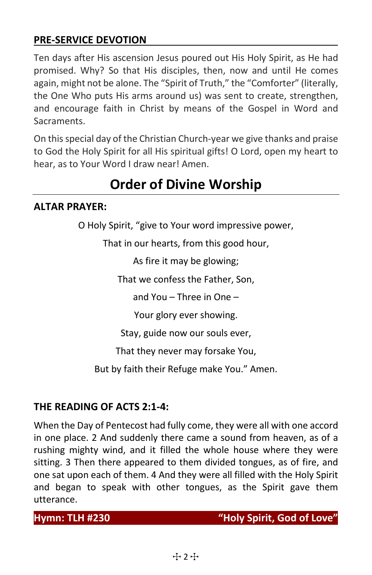#### **PRE-SERVICE DEVOTION**

Ten days after His ascension Jesus poured out His Holy Spirit, as He had promised. Why? So that His disciples, then, now and until He comes again, might not be alone. The "Spirit of Truth," the "Comforter" (literally, the One Who puts His arms around us) was sent to create, strengthen, and encourage faith in Christ by means of the Gospel in Word and Sacraments.

On this special day of the Christian Church-year we give thanks and praise to God the Holy Spirit for all His spiritual gifts! O Lord, open my heart to hear, as to Your Word I draw near! Amen.

## **Order of Divine Worship**

#### **ALTAR PRAYER:**

O Holy Spirit, "give to Your word impressive power,

That in our hearts, from this good hour,

As fire it may be glowing;

That we confess the Father, Son,

and You – Three in One –

Your glory ever showing.

Stay, guide now our souls ever,

That they never may forsake You,

But by faith their Refuge make You." Amen.

#### **THE READING OF ACTS 2:1-4:**

When the Day of Pentecost had fully come, they were all with one accord in one place. 2 And suddenly there came a sound from heaven, as of a rushing mighty wind, and it filled the whole house where they were sitting. 3 Then there appeared to them divided tongues, as of fire, and one sat upon each of them. 4 And they were all filled with the Holy Spirit and began to speak with other tongues, as the Spirit gave them utterance.

**Hymn: TLH #230 "Holy Spirit, God of Love"**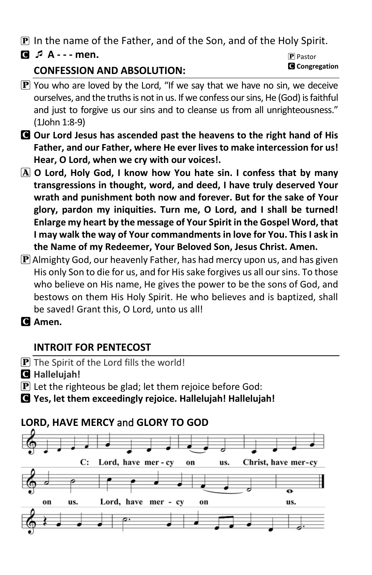P In the name of the Father, and of the Son, and of the Holy Spirit.

C **A - - - men.** 

#### **CONFESSION AND ABSOLUTION:**

- **P** Pastor C **Congregation**
- $\mathbf{P}$  You who are loved by the Lord, "If we say that we have no sin, we deceive ourselves, and the truths is not in us. If we confess our sins, He (God) is faithful and just to forgive us our sins and to cleanse us from all unrighteousness." (1John 1:8-9)
- C **Our Lord Jesus has ascended past the heavens to the right hand of His Father, and our Father, where He ever lives to make intercession for us! Hear, O Lord, when we cry with our voices!.**
- A **O Lord, Holy God, I know how You hate sin. I confess that by many transgressions in thought, word, and deed, I have truly deserved Your wrath and punishment both now and forever. But for the sake of Your glory, pardon my iniquities. Turn me, O Lord, and I shall be turned! Enlarge my heart by the message of Your Spirit in the Gospel Word, that I may walk the way of Your commandments in love for You. This I ask in the Name of my Redeemer, Your Beloved Son, Jesus Christ. Amen.**
- $\bf{P}$  Almighty God, our heavenly Father, has had mercy upon us, and has given His only Son to die for us, and for His sake forgives us all our sins. To those who believe on His name, He gives the power to be the sons of God, and bestows on them His Holy Spirit. He who believes and is baptized, shall be saved! Grant this, O Lord, unto us all!
- C **Amen.**

#### **INTROIT FOR PENTECOST**

- $\bf{P}$  The Spirit of the Lord fills the world!
- C **Hallelujah!**
- $\bf{P}$  Let the righteous be glad; let them rejoice before God:
- C **Yes, let them exceedingly rejoice. Hallelujah! Hallelujah!**

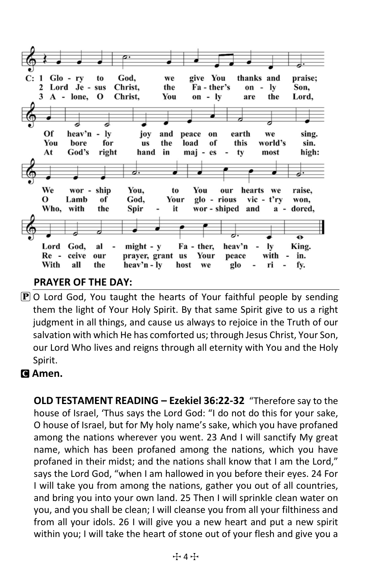$C: 1$  Glo - ry God. give You thanks and praise: to we 2 Lord Je - sus Christ. the Fa - ther's on -  $ly$ Son.  $3A - lone,$ Christ, You on - ly Lord,  $\mathbf{o}$ are the Of heav'n ly peace joy and earth we sing. on You bore for **us** the load of this world's sin. God's hand in high: At right maj - es ty most We wor - ship You, You hearts to our we raise,  $\Omega$ Lamb of God, Your glo - rious vic - t'ry won, Who, with the Spir it wor - shiped and dored,  $a \overline{\mathbf{e}}$ God, Lord al  $might - v$ Fa - ther, heav'n lv King. Re ceive our prayer, grant us Your peace with  $\overline{\phantom{a}}$ in. With all the heav'n - ly glo ri fy. host we

#### **PRAYER OF THE DAY:**

 $\overline{P}$  O Lord God, You taught the hearts of Your faithful people by sending them the light of Your Holy Spirit. By that same Spirit give to us a right judgment in all things, and cause us always to rejoice in the Truth of our salvation with which He has comforted us; through Jesus Christ, Your Son, our Lord Who lives and reigns through all eternity with You and the Holy Spirit.

#### C **Amen.**

**OLD TESTAMENT READING – Ezekiel 36:22-32** "Therefore say to the house of Israel, 'Thus says the Lord God: "I do not do this for your sake, O house of Israel, but for My holy name's sake, which you have profaned among the nations wherever you went. 23 And I will sanctify My great name, which has been profaned among the nations, which you have profaned in their midst; and the nations shall know that I am the Lord," says the Lord God, "when I am hallowed in you before their eyes. 24 For I will take you from among the nations, gather you out of all countries, and bring you into your own land. 25 Then I will sprinkle clean water on you, and you shall be clean; I will cleanse you from all your filthiness and from all your idols. 26 I will give you a new heart and put a new spirit within you; I will take the heart of stone out of your flesh and give you a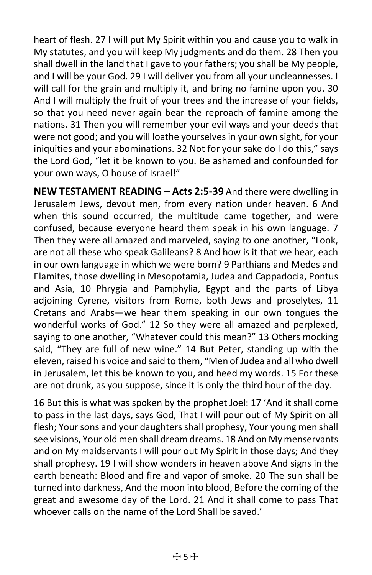heart of flesh. 27 I will put My Spirit within you and cause you to walk in My statutes, and you will keep My judgments and do them. 28 Then you shall dwell in the land that I gave to your fathers; you shall be My people, and I will be your God. 29 I will deliver you from all your uncleannesses. I will call for the grain and multiply it, and bring no famine upon you. 30 And I will multiply the fruit of your trees and the increase of your fields, so that you need never again bear the reproach of famine among the nations. 31 Then you will remember your evil ways and your deeds that were not good; and you will loathe yourselves in your own sight, for your iniquities and your abominations. 32 Not for your sake do I do this," says the Lord God, "let it be known to you. Be ashamed and confounded for your own ways, O house of Israel!"

**NEW TESTAMENT READING – Acts 2:5-39** And there were dwelling in Jerusalem Jews, devout men, from every nation under heaven. 6 And when this sound occurred, the multitude came together, and were confused, because everyone heard them speak in his own language. 7 Then they were all amazed and marveled, saying to one another, "Look, are not all these who speak Galileans? 8 And how is it that we hear, each in our own language in which we were born? 9 Parthians and Medes and Elamites, those dwelling in Mesopotamia, Judea and Cappadocia, Pontus and Asia, 10 Phrygia and Pamphylia, Egypt and the parts of Libya adjoining Cyrene, visitors from Rome, both Jews and proselytes, 11 Cretans and Arabs—we hear them speaking in our own tongues the wonderful works of God." 12 So they were all amazed and perplexed, saying to one another, "Whatever could this mean?" 13 Others mocking said, "They are full of new wine." 14 But Peter, standing up with the eleven, raised his voice and said to them, "Men of Judea and all who dwell in Jerusalem, let this be known to you, and heed my words. 15 For these are not drunk, as you suppose, since it is only the third hour of the day.

16 But this is what was spoken by the prophet Joel: 17 'And it shall come to pass in the last days, says God, That I will pour out of My Spirit on all flesh; Your sons and your daughters shall prophesy, Your young men shall see visions, Your old men shall dream dreams. 18 And on My menservants and on My maidservants I will pour out My Spirit in those days; And they shall prophesy. 19 I will show wonders in heaven above And signs in the earth beneath: Blood and fire and vapor of smoke. 20 The sun shall be turned into darkness, And the moon into blood, Before the coming of the great and awesome day of the Lord. 21 And it shall come to pass That whoever calls on the name of the Lord Shall be saved.'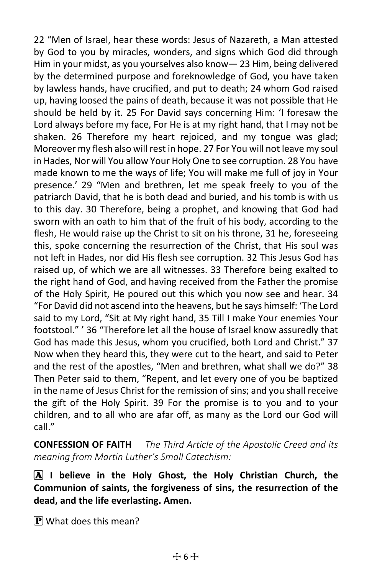22 "Men of Israel, hear these words: Jesus of Nazareth, a Man attested by God to you by miracles, wonders, and signs which God did through Him in your midst, as you yourselves also know— 23 Him, being delivered by the determined purpose and foreknowledge of God, you have taken by lawless hands, have crucified, and put to death; 24 whom God raised up, having loosed the pains of death, because it was not possible that He should be held by it. 25 For David says concerning Him: 'I foresaw the Lord always before my face, For He is at my right hand, that I may not be shaken. 26 Therefore my heart rejoiced, and my tongue was glad; Moreover my flesh also will rest in hope. 27 For You will not leave my soul in Hades, Nor will You allow Your Holy One to see corruption. 28 You have made known to me the ways of life; You will make me full of joy in Your presence.' 29 "Men and brethren, let me speak freely to you of the patriarch David, that he is both dead and buried, and his tomb is with us to this day. 30 Therefore, being a prophet, and knowing that God had sworn with an oath to him that of the fruit of his body, according to the flesh, He would raise up the Christ to sit on his throne, 31 he, foreseeing this, spoke concerning the resurrection of the Christ, that His soul was not left in Hades, nor did His flesh see corruption. 32 This Jesus God has raised up, of which we are all witnesses. 33 Therefore being exalted to the right hand of God, and having received from the Father the promise of the Holy Spirit, He poured out this which you now see and hear. 34 "For David did not ascend into the heavens, but he says himself: 'The Lord said to my Lord, "Sit at My right hand, 35 Till I make Your enemies Your footstool." ' 36 "Therefore let all the house of Israel know assuredly that God has made this Jesus, whom you crucified, both Lord and Christ." 37 Now when they heard this, they were cut to the heart, and said to Peter and the rest of the apostles, "Men and brethren, what shall we do?" 38 Then Peter said to them, "Repent, and let every one of you be baptized in the name of Jesus Christ for the remission of sins; and you shall receive the gift of the Holy Spirit. 39 For the promise is to you and to your children, and to all who are afar off, as many as the Lord our God will call."

**CONFESSION OF FAITH** *The Third Article of the Apostolic Creed and its meaning from Martin Luther's Small Catechism:*

A **I believe in the Holy Ghost, the Holy Christian Church, the Communion of saints, the forgiveness of sins, the resurrection of the dead, and the life everlasting. Amen.**

 $\mathbf{P}$  What does this mean?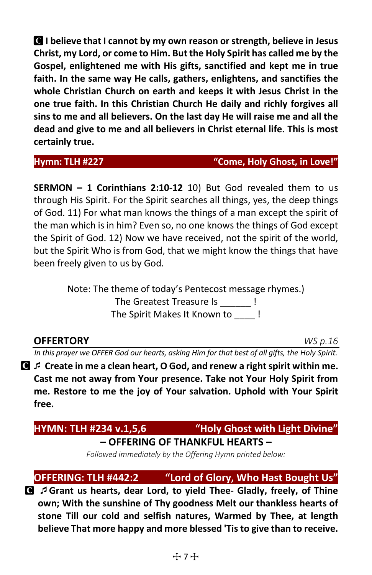C **I believe that I cannot by my own reason orstrength, believe in Jesus Christ, my Lord, or come to Him. But the Holy Spirit has called me by the Gospel, enlightened me with His gifts, sanctified and kept me in true faith. In the same way He calls, gathers, enlightens, and sanctifies the whole Christian Church on earth and keeps it with Jesus Christ in the one true faith. In this Christian Church He daily and richly forgives all sins to me and all believers. On the last day He will raise me and all the dead and give to me and all believers in Christ eternal life. This is most certainly true.**

#### **Hymn: TLH #227 "Come, Holy Ghost, in Love!"**

**SERMON – 1 Corinthians 2:10-12** 10) But God revealed them to us through His Spirit. For the Spirit searches all things, yes, the deep things of God. 11) For what man knows the things of a man except the spirit of the man which is in him? Even so, no one knows the things of God except the Spirit of God. 12) Now we have received, not the spirit of the world, but the Spirit Who is from God, that we might know the things that have been freely given to us by God.

> Note: The theme of today's Pentecost message rhymes.) The Greatest Treasure Is \_\_\_\_\_\_ ! The Spirit Makes It Known to  $\qquad$  !

#### **OFFERTORY** *WS p.16*

*In this prayer we OFFER God our hearts, asking Him for that best of all gifts, the Holy Spirit.*

C **Create in me a clean heart, O God, and renew a right spirit within me. Cast me not away from Your presence. Take not Your Holy Spirit from me. Restore to me the joy of Your salvation. Uphold with Your Spirit free.** 

## **HYMN: TLH #234 v.1,5,6 "Holy Ghost with Light Divine"**

#### **– OFFERING OF THANKFUL HEARTS –**

*Followed immediately by the Offering Hymn printed below:*

**OFFERING: TLH #442:2 "Lord of Glory, Who Hast Bought Us"**

C **Grant us hearts, dear Lord, to yield Thee- Gladly, freely, of Thine own; With the sunshine of Thy goodness Melt our thankless hearts of stone Till our cold and selfish natures, Warmed by Thee, at length believe That more happy and more blessed 'Tis to give than to receive.**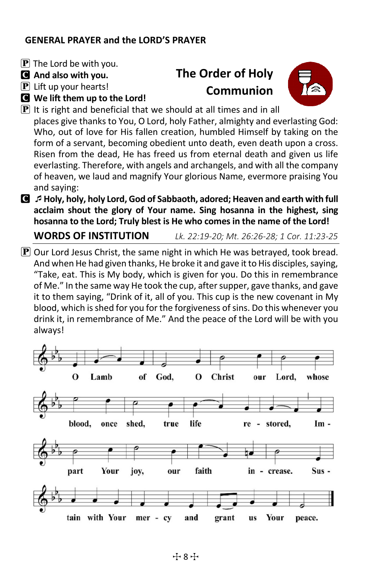#### **GENERAL PRAYER and the LORD'S PRAYER**

- $[P]$  The Lord be with you.
- C **And also with you.**

 $[P]$  Lift up your hearts!

C **We lift them up to the Lord!** 

# **The Order of Holy Communion**



- $\bf{P}$  It is right and beneficial that we should at all times and in all places give thanks to You, O Lord, holy Father, almighty and everlasting God: Who, out of love for His fallen creation, humbled Himself by taking on the form of a servant, becoming obedient unto death, even death upon a cross. Risen from the dead, He has freed us from eternal death and given us life everlasting. Therefore, with angels and archangels, and with all the company of heaven, we laud and magnify Your glorious Name, evermore praising You and saying:
- C **Holy, holy, holy Lord, God of Sabbaoth, adored; Heaven and earth with full acclaim shout the glory of Your name. Sing hosanna in the highest, sing hosanna to the Lord; Truly blest is He who comes in the name of the Lord!**

**WORDS OF INSTITUTION** *Lk. 22:19-20; Mt. 26:26-28; 1 Cor. 11:23-25*

 $\mathbf P$  Our Lord Jesus Christ, the same night in which He was betrayed, took bread. And when He had given thanks, He broke it and gave it to His disciples, saying, "Take, eat. This is My body, which is given for you. Do this in remembrance of Me." In the same way He took the cup, after supper, gave thanks, and gave it to them saying, "Drink of it, all of you. This cup is the new covenant in My blood, which is shed for you for the forgiveness of sins. Do this whenever you drink it, in remembrance of Me." And the peace of the Lord will be with you always!

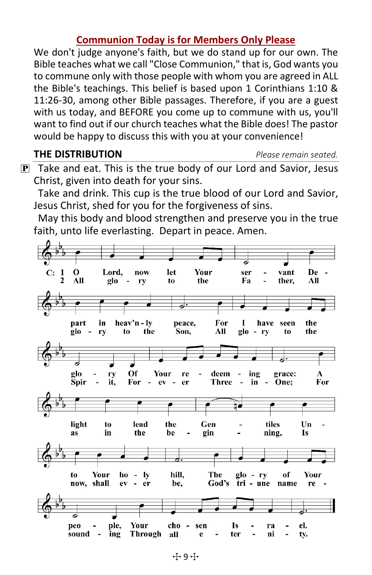#### **Communion Today is for Members Only Please**

We don't judge anyone's faith, but we do stand up for our own. The Bible teaches what we call "Close Communion," that is, God wants you to commune only with those people with whom you are agreed in ALL the Bible's teachings. This belief is based upon 1 Corinthians 1:10 & 11:26-30, among other Bible passages. Therefore, if you are a guest with us today, and BEFORE you come up to commune with us, you'll want to find out if our church teaches what the Bible does! The pastor would be happy to discuss this with you at your convenience!

**THE DISTRIBUTION** *Please remain seated.*

 $\mathbf{P}$  Take and eat. This is the true body of our Lord and Savior, Jesus Christ, given into death for your sins.

Take and drink. This cup is the true blood of our Lord and Savior, Jesus Christ, shed for you for the forgiveness of sins.

May this body and blood strengthen and preserve you in the true faith, unto life everlasting. Depart in peace. Amen.

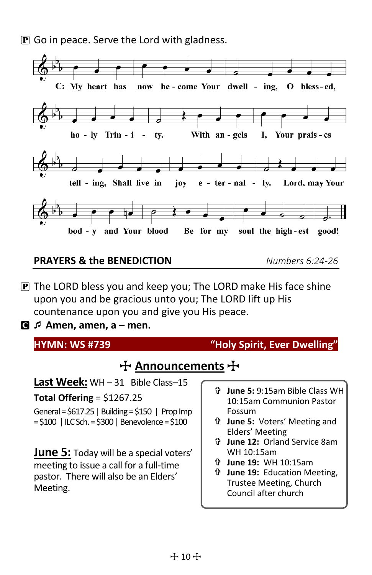**P** Go in peace. Serve the Lord with gladness.



#### **PRAYERS & the BENEDICTION** *Numbers 6:24-26*

- P The LORD bless you and keep you; The LORD make His face shine upon you and be gracious unto you; The LORD lift up His countenance upon you and give you His peace.
- C **Amen, amen, a – men.**

| <b>HYMN: WS #739</b>                               | "Holy Spirit, Ever Dwelling"                                    |
|----------------------------------------------------|-----------------------------------------------------------------|
| $\pm$ Announcements $\pm$                          |                                                                 |
| Last Week: WH-31 Bible Class-15                    |                                                                 |
| Total Offering = $$1267.25$                        | June 5: 9:15am Bible Class WH<br>令.<br>10:15am Communion Pastor |
| General = $$617.25$   Building = $$150$   Prop Imp | Fossum                                                          |
| $= $100$   ILC Sch. = \$300   Benevolence = \$100  | <b>ੀ June 5: Voters' Meeting and</b><br>Elders' Meeting         |
|                                                    | <b>ੀ June 12: Orland Service 8am</b>                            |
| <b>June 5:</b> Today will be a special voters'     | WH 10:15am                                                      |
| meeting to issue a call for a full-time            | June 19: WH 10:15am<br>Ÿ                                        |
| pastor. There will also be an Elders'              | 4<br><b>June 19: Education Meeting,</b>                         |
| Meeting.                                           | Trustee Meeting, Church                                         |
|                                                    | Council after church                                            |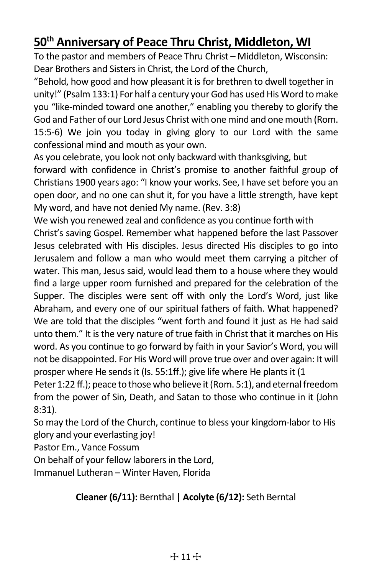### **50th Anniversary of Peace Thru Christ, Middleton, WI**

To the pastor and members of Peace Thru Christ – Middleton, Wisconsin: Dear Brothers and Sisters in Christ, the Lord of the Church,

"Behold, how good and how pleasant it is for brethren to dwell together in unity!" (Psalm 133:1) For half a century your God has used His Word to make you "like-minded toward one another," enabling you thereby to glorify the God and Father of our Lord Jesus Christ with one mind and one mouth (Rom. 15:5-6) We join you today in giving glory to our Lord with the same confessional mind and mouth as your own.

As you celebrate, you look not only backward with thanksgiving, but

forward with confidence in Christ's promise to another faithful group of Christians 1900 years ago: "I know your works. See, I have set before you an open door, and no one can shut it, for you have a little strength, have kept My word, and have not denied My name. (Rev. 3:8)

We wish you renewed zeal and confidence as you continue forth with Christ's saving Gospel. Remember what happened before the last Passover Jesus celebrated with His disciples. Jesus directed His disciples to go into Jerusalem and follow a man who would meet them carrying a pitcher of water. This man, Jesus said, would lead them to a house where they would find a large upper room furnished and prepared for the celebration of the Supper. The disciples were sent off with only the Lord's Word, just like Abraham, and every one of our spiritual fathers of faith. What happened? We are told that the disciples "went forth and found it just as He had said unto them." It is the very nature of true faith in Christ that it marches on His word. As you continue to go forward by faith in your Savior's Word, you will not be disappointed. For His Word will prove true over and over again: It will prosper where He sends it (Is. 55:1ff.); give life where He plants it (1

Peter 1:22 ff.); peace to those who believe it (Rom. 5:1), and eternal freedom from the power of Sin, Death, and Satan to those who continue in it (John 8:31).

So may the Lord of the Church, continue to bless your kingdom-labor to His glory and your everlasting joy!

Pastor Em., Vance Fossum

On behalf of your fellow laborers in the Lord,

Immanuel Lutheran – Winter Haven, Florida

#### **Cleaner (6/11):** Bernthal | **Acolyte (6/12):** Seth Berntal